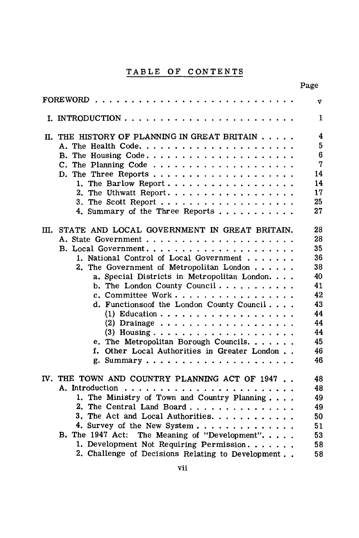## TABLE OF CONTENTS

|                      |                                                                                                                                                                                                                                                                                                                                                                                                     | Page                                                                                   |  |
|----------------------|-----------------------------------------------------------------------------------------------------------------------------------------------------------------------------------------------------------------------------------------------------------------------------------------------------------------------------------------------------------------------------------------------------|----------------------------------------------------------------------------------------|--|
| <b>FOREWORD</b><br>v |                                                                                                                                                                                                                                                                                                                                                                                                     |                                                                                        |  |
|                      |                                                                                                                                                                                                                                                                                                                                                                                                     | 1                                                                                      |  |
|                      | II. THE HISTORY OF PLANNING IN GREAT BRITAIN<br>C. The Planning Code<br>1. The Barlow Report<br>2. The Uthwatt Report.<br>4. Summary of the Three Reports                                                                                                                                                                                                                                           | 4<br>5<br>$6\phantom{1}$<br>7<br>14<br>14<br>17<br>25<br>27                            |  |
|                      | III. STATE AND LOCAL GOVERNMENT IN GREAT BRITAIN.<br>1. National Control of Local Government<br>2. The Government of Metropolitan London<br>a. Special Districts in Metropolitan London.<br>b. The London County Council<br>c. Committee Work<br>d. Functionsoof the London County Council<br>(2) Drainage<br>e. The Metropolitan Borough Councils.<br>f. Other Local Authorities in Greater London | 28<br>28<br>35<br>36<br>38<br>40<br>41<br>42<br>43<br>44<br>44<br>44<br>45<br>46<br>46 |  |
|                      | IV. THE TOWN AND COUNTRY PLANNING ACT OF 1947<br>1. The Ministry of Town and Country Planning<br>2. The Central Land Board<br>3. The Act and Local Authorities.<br>4. Survey of the New System<br>B. The 1947 Act: The Meaning of "Development".<br>1. Development Not Requiring Permission<br>2. Challenge of Decisions Relating to Development                                                    | 48<br>48<br>49<br>49<br>50<br>51<br>53<br>58<br>58                                     |  |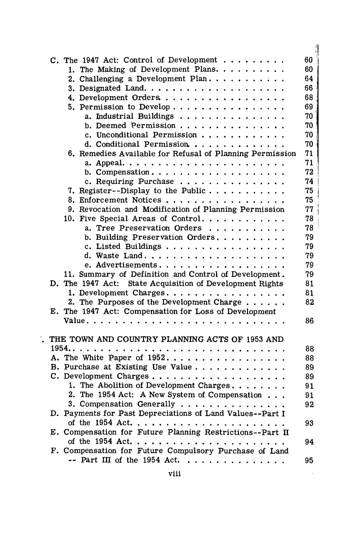| C. The 1947 Act: Control of Development $\ldots$ ,,,,,,,    | 60       |
|-------------------------------------------------------------|----------|
| 1. The Making of Development Plans.                         | 60       |
| 2. Challenging a Development Plan                           | 64       |
|                                                             | 66       |
| 4. Development Orders                                       | 68       |
| 5. Permission to Develop                                    | 69       |
| a. Industrial Buildings                                     | 70       |
| b. Deemed Permission                                        | 70       |
| c. Unconditional Permission                                 | 70       |
| d. Conditional Permission                                   | 70       |
| 6. Remedies Available for Refusal of Planning Permission    | 71       |
|                                                             | 71       |
|                                                             | 72       |
| c. Requiring Purchase                                       | 74       |
| 7. Register--Display to the Public                          | 75       |
| 8. Enforcement Notices                                      | 75       |
| 9. Revocation and Modification of Planning Permission       | 77       |
| 10. Five Special Areas of Control                           | 78       |
| a. Tree Preservation Orders                                 | 78       |
| b. Building Preservation Orders.                            | 79       |
| c. Listed Buildings                                         | 79       |
|                                                             | 79       |
| e. Advertisements.                                          | 79       |
| 11. Summary of Definition and Control of Development.       | 79       |
| D. The 1947 Act: State Acquisition of Development Rights    | 81       |
| 1. Development Charges.                                     | 81       |
| 2. The Purposes of the Development Charge                   | 82       |
| E. The 1947 Act: Compensation for Loss of Development       |          |
|                                                             | 86       |
|                                                             |          |
| THE TOWN AND COUNTRY PLANNING ACTS OF 1953 AND              |          |
| A. The White Paper of 1952.                                 | 88       |
|                                                             | 88       |
| B. Purchase at Existing Use Value<br>C. Development Charges | 89<br>89 |
| 1. The Abolition of Development Charges                     | 91       |
| 2. The 1954 Act: A New System of Compensation               | 91       |
| 3. Compensation Generally                                   | 92       |
| D. Payments for Past Depreciations of Land Values--Part I   |          |
|                                                             | 93       |
| E. Compensation for Future Planning Restrictions--Part II   |          |
|                                                             | 94       |
| F. Compensation for Future Compulsory Purchase of Land      |          |
| $-$ Part III of the 1954 Act.                               | 95       |
|                                                             |          |

 $\ddot{\cdot}$